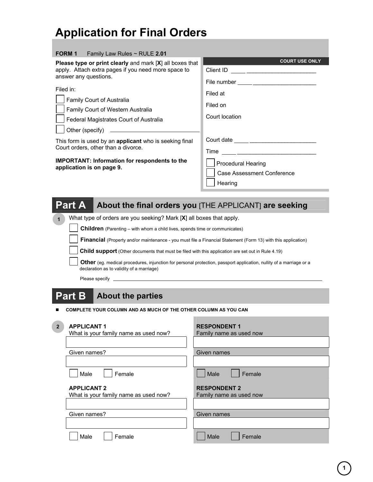## **Application for Final Orders**

#### **FORM 1** Family Law Rules ~ RULE **2.01**

**Please type or print clearly** and mark [**X**] all boxes that **EXA and MARK COURT USE ONLY** apply. Attach extra pages if you need more space to answer any questions.

| Filed in:                                   |
|---------------------------------------------|
| Family Court of Australia                   |
| Family Court of Western Australia           |
| Federal Magistrates Court of Australia      |
| $\vert$ $\vert$ Other (specify) $\vert$ ___ |

Client ID \_\_\_\_\_\_\_\_\_\_\_\_\_\_\_\_\_\_\_\_\_\_ File number \_\_\_\_\_\_\_\_\_\_\_\_\_\_\_\_\_\_\_\_ Filed at Filed on Court location Court date \_\_\_\_\_\_\_\_\_\_\_\_\_\_\_\_\_\_\_\_\_  $Time \_$ Procedural Hearing Case Assessment Conference **Hearing** 

This form is used by an **applicant** who is seeking final Court orders, other than a divorce.

**IMPORTANT: Information for respondents to the application is on page 9.** 

|  | Part A About the final orders you [THE APPLICANT] are seeking |
|--|---------------------------------------------------------------|
|--|---------------------------------------------------------------|

What type of orders are you seeking? Mark [**X**] all boxes that apply. **1**

**Children** (Parenting – with whom a child lives, spends time or communicates)

**Financial** (Property and/or maintenance - you must file a Financial Statement (Form 13) with this application)

**Child support** (Other documents that must be filed with this application are set out in Rule 4.19)

**Other** (eg. medical procedures, injunction for personal protection, passport application, nullity of a marriage or a declaration as to validity of a marriage)

Please specify

**2**

### **Part B About the parties**

**COMPLETE YOUR COLUMN AND AS MUCH OF THE OTHER COLUMN AS YOU CAN** 

| $\overline{2}$ | <b>APPLICANT 1</b><br>What is your family name as used now? | <b>RESPONDENT1</b><br>Family name as used now  |
|----------------|-------------------------------------------------------------|------------------------------------------------|
|                |                                                             |                                                |
|                | Given names?                                                | Given names                                    |
|                |                                                             |                                                |
|                | Male<br>Female                                              | Male<br>Female                                 |
|                | <b>APPLICANT 2</b><br>What is your family name as used now? | <b>RESPONDENT 2</b><br>Family name as used now |
|                |                                                             |                                                |
|                | Given names?                                                | Given names                                    |
|                |                                                             |                                                |
|                | Female<br>Male                                              | Male<br>Female                                 |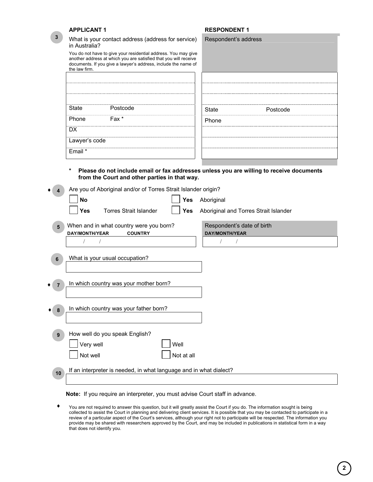|    | <b>APPLICANT1</b>                                                                                                                                                                                                     | <b>RESPONDENT 1</b>                                                                      |
|----|-----------------------------------------------------------------------------------------------------------------------------------------------------------------------------------------------------------------------|------------------------------------------------------------------------------------------|
| 3  | What is your contact address (address for service)<br>in Australia?                                                                                                                                                   | Respondent's address                                                                     |
|    | You do not have to give your residential address. You may give<br>another address at which you are satisfied that you will receive<br>documents. If you give a lawyer's address, include the name of<br>the law firm. |                                                                                          |
|    |                                                                                                                                                                                                                       |                                                                                          |
|    |                                                                                                                                                                                                                       |                                                                                          |
|    | Postcode<br><b>State</b>                                                                                                                                                                                              | <b>State</b><br>Postcode                                                                 |
|    | Fax *<br>Phone<br><b>DX</b>                                                                                                                                                                                           | Phone                                                                                    |
|    | Lawyer's code                                                                                                                                                                                                         |                                                                                          |
|    | Email *                                                                                                                                                                                                               |                                                                                          |
|    | $\star$                                                                                                                                                                                                               | Please do not include email or fax addresses unless you are willing to receive documents |
|    | from the Court and other parties in that way.                                                                                                                                                                         |                                                                                          |
|    | Are you of Aboriginal and/or of Torres Strait Islander origin?                                                                                                                                                        |                                                                                          |
|    | Yes<br><b>No</b>                                                                                                                                                                                                      | Aboriginal                                                                               |
|    | <b>Yes</b><br><b>Torres Strait Islander</b><br><b>Yes</b>                                                                                                                                                             | Aboriginal and Torres Strait Islander                                                    |
| 5  | When and in what country were you born?<br><b>DAY/MONTH/YEAR</b><br><b>COUNTRY</b>                                                                                                                                    | Respondent's date of birth<br><b>DAY/MONTH/YEAR</b>                                      |
|    |                                                                                                                                                                                                                       |                                                                                          |
| 6  | What is your usual occupation?                                                                                                                                                                                        |                                                                                          |
| 7  | In which country was your mother born?                                                                                                                                                                                |                                                                                          |
|    |                                                                                                                                                                                                                       |                                                                                          |
| 8  | In which country was your father born?                                                                                                                                                                                |                                                                                          |
| 9  | How well do you speak English?                                                                                                                                                                                        |                                                                                          |
|    | Very well<br>Well                                                                                                                                                                                                     |                                                                                          |
|    | Not well<br>Not at all                                                                                                                                                                                                |                                                                                          |
| 10 | If an interpreter is needed, in what language and in what dialect?                                                                                                                                                    |                                                                                          |
|    |                                                                                                                                                                                                                       |                                                                                          |

**Note:** If you require an interpreter, you must advise Court staff in advance.

You are not required to answer this question, but it will greatly assist the Court if you do. The information sought is being collected to assist the Court in planning and delivering client services. It is possible that you may be contacted to participate in a review of a particular aspect of the Court's services, although your right not to participate will be respected. The information you provide may be shared with researchers approved by the Court, and may be included in publications in statistical form in a way that does not identify you. ♦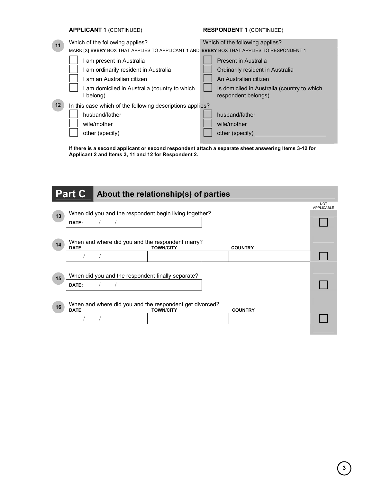|    | <b>APPLICANT 1 (CONTINUED)</b>                                                            | <b>RESPONDENT 1 (CONTINUED)</b>                                    |
|----|-------------------------------------------------------------------------------------------|--------------------------------------------------------------------|
| 11 | Which of the following applies?                                                           | Which of the following applies?                                    |
|    | MARK [X] EVERY BOX THAT APPLIES TO APPLICANT 1 AND EVERY BOX THAT APPLIES TO RESPONDENT 1 |                                                                    |
|    | am present in Australia                                                                   | <b>Present in Australia</b>                                        |
|    | am ordinarily resident in Australia                                                       | Ordinarily resident in Australia                                   |
|    | am an Australian citizen                                                                  | An Australian citizen                                              |
|    | am domiciled in Australia (country to which<br>belong)                                    | Is domiciled in Australia (country to which<br>respondent belongs) |
| 12 | In this case which of the following descriptions applies?                                 |                                                                    |
|    | husband/father                                                                            | husband/father                                                     |
|    | wife/mother                                                                               | wife/mother                                                        |
|    | other (specify)                                                                           | other (specify)                                                    |

**If there is a second applicant or second respondent attach a separate sheet answering Items 3-12 for Applicant 2 and Items 3, 11 and 12 for Respondent 2.** 

|    | <b>Part C</b> |                                                   | About the relationship(s) of parties                                        |                |                                 |
|----|---------------|---------------------------------------------------|-----------------------------------------------------------------------------|----------------|---------------------------------|
| 13 | DATE:         |                                                   | When did you and the respondent begin living together?                      |                | <b>NOT</b><br><b>APPLICABLE</b> |
| 14 | <b>DATE</b>   |                                                   | When and where did you and the respondent marry?<br><b>TOWN/CITY</b>        | <b>COUNTRY</b> |                                 |
| 15 | DATE:         | When did you and the respondent finally separate? |                                                                             |                |                                 |
| 16 | <b>DATE</b>   |                                                   | When and where did you and the respondent get divorced?<br><b>TOWN/CITY</b> | <b>COUNTRY</b> |                                 |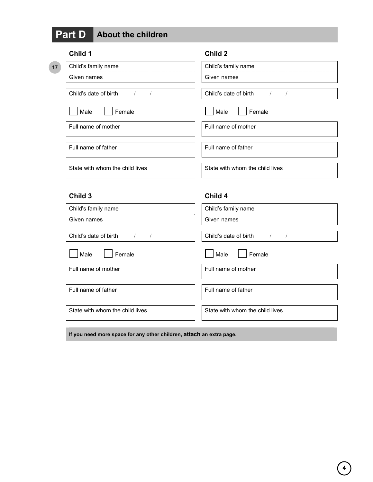# **Part D About the children**

|    | Child 1                         | Child 2                         |
|----|---------------------------------|---------------------------------|
| 17 | Child's family name             | Child's family name             |
|    | Given names                     | Given names                     |
|    | Child's date of birth           | Child's date of birth           |
|    | Male<br>Female                  | Female<br>Male                  |
|    | Full name of mother             | Full name of mother             |
|    | Full name of father             | Full name of father             |
|    | State with whom the child lives | State with whom the child lives |

### **Child 3 Child 4**

| Child's family name                 | Child's family name                 |
|-------------------------------------|-------------------------------------|
| Given names                         | Given names                         |
| Child's date of birth<br>$\sqrt{1}$ | Child's date of birth<br>$\sqrt{1}$ |
| Female<br>Male                      | Male<br>Female                      |
| Full name of mother                 | Full name of mother                 |
| Full name of father                 | Full name of father                 |
| State with whom the child lives     | State with whom the child lives     |

**If you need more space for any other children, attach an extra page.**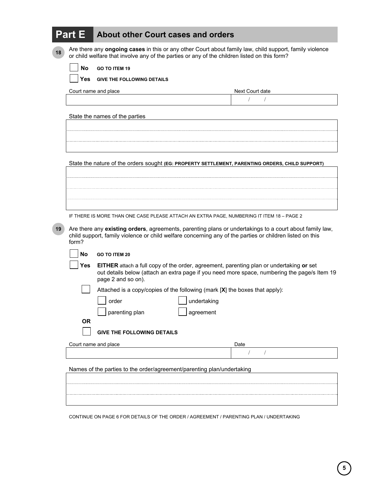|    | <b>Part E</b>                                                                                                                                                                                                                | <b>About other Court cases and orders</b>                                                                                                                                               |                 |
|----|------------------------------------------------------------------------------------------------------------------------------------------------------------------------------------------------------------------------------|-----------------------------------------------------------------------------------------------------------------------------------------------------------------------------------------|-----------------|
| 18 | Are there any ongoing cases in this or any other Court about family law, child support, family violence<br>or child welfare that involve any of the parties or any of the children listed on this form?                      |                                                                                                                                                                                         |                 |
|    | No<br><b>GO TO ITEM 19</b>                                                                                                                                                                                                   |                                                                                                                                                                                         |                 |
|    | Yes.                                                                                                                                                                                                                         | <b>GIVE THE FOLLOWING DETAILS</b>                                                                                                                                                       |                 |
|    |                                                                                                                                                                                                                              | Court name and place                                                                                                                                                                    | Next Court date |
|    |                                                                                                                                                                                                                              |                                                                                                                                                                                         | $\sqrt{2}$      |
|    |                                                                                                                                                                                                                              | State the names of the parties                                                                                                                                                          |                 |
|    |                                                                                                                                                                                                                              |                                                                                                                                                                                         |                 |
|    |                                                                                                                                                                                                                              |                                                                                                                                                                                         |                 |
|    |                                                                                                                                                                                                                              |                                                                                                                                                                                         |                 |
|    |                                                                                                                                                                                                                              | State the nature of the orders sought (EG: PROPERTY SETTLEMENT, PARENTING ORDERS, CHILD SUPPORT)                                                                                        |                 |
|    |                                                                                                                                                                                                                              |                                                                                                                                                                                         |                 |
|    |                                                                                                                                                                                                                              |                                                                                                                                                                                         |                 |
|    |                                                                                                                                                                                                                              |                                                                                                                                                                                         |                 |
|    |                                                                                                                                                                                                                              |                                                                                                                                                                                         |                 |
|    |                                                                                                                                                                                                                              | IF THERE IS MORE THAN ONE CASE PLEASE ATTACH AN EXTRA PAGE, NUMBERING IT ITEM 18 - PAGE 2                                                                                               |                 |
| 19 | Are there any existing orders, agreements, parenting plans or undertakings to a court about family law,<br>child support, family violence or child welfare concerning any of the parties or children listed on this<br>form? |                                                                                                                                                                                         |                 |
|    | <b>No</b>                                                                                                                                                                                                                    | <b>GO TO ITEM 20</b>                                                                                                                                                                    |                 |
|    | Yes                                                                                                                                                                                                                          | EITHER attach a full copy of the order, agreement, parenting plan or undertaking or set<br>out details below (attach an extra page if you need more space, numbering the page/s Item 19 |                 |
|    |                                                                                                                                                                                                                              | page 2 and so on).                                                                                                                                                                      |                 |
|    |                                                                                                                                                                                                                              | Attached is a copy/copies of the following (mark [X] the boxes that apply):                                                                                                             |                 |
|    |                                                                                                                                                                                                                              | undertaking<br>order                                                                                                                                                                    |                 |
|    | <b>OR</b>                                                                                                                                                                                                                    | parenting plan<br>agreement                                                                                                                                                             |                 |
|    |                                                                                                                                                                                                                              | <b>GIVE THE FOLLOWING DETAILS</b>                                                                                                                                                       |                 |
|    |                                                                                                                                                                                                                              | Court name and place                                                                                                                                                                    | Date            |
|    |                                                                                                                                                                                                                              |                                                                                                                                                                                         |                 |
|    |                                                                                                                                                                                                                              | Names of the parties to the order/agreement/parenting plan/undertaking                                                                                                                  |                 |
|    |                                                                                                                                                                                                                              |                                                                                                                                                                                         |                 |
|    |                                                                                                                                                                                                                              |                                                                                                                                                                                         |                 |
|    |                                                                                                                                                                                                                              |                                                                                                                                                                                         |                 |

CONTINUE ON PAGE 6 FOR DETAILS OF THE ORDER / AGREEMENT / PARENTING PLAN / UNDERTAKING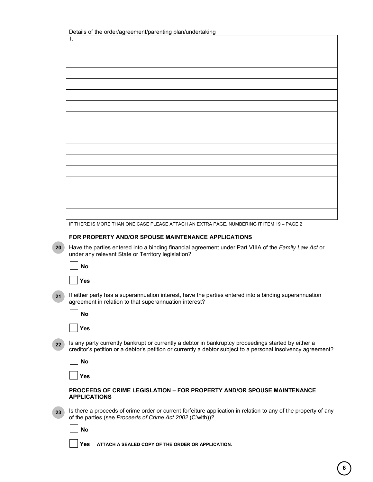| Details of the order/agreement/parenting plan/undertaking |  |  |
|-----------------------------------------------------------|--|--|
|-----------------------------------------------------------|--|--|

|                | Details of the order/agreement/parenting plan/undertaking                                                                                                                                                           |
|----------------|---------------------------------------------------------------------------------------------------------------------------------------------------------------------------------------------------------------------|
| $\mathbf{1}$ . |                                                                                                                                                                                                                     |
|                |                                                                                                                                                                                                                     |
|                |                                                                                                                                                                                                                     |
|                |                                                                                                                                                                                                                     |
|                |                                                                                                                                                                                                                     |
|                |                                                                                                                                                                                                                     |
|                |                                                                                                                                                                                                                     |
|                |                                                                                                                                                                                                                     |
|                |                                                                                                                                                                                                                     |
|                |                                                                                                                                                                                                                     |
|                |                                                                                                                                                                                                                     |
|                |                                                                                                                                                                                                                     |
|                |                                                                                                                                                                                                                     |
|                |                                                                                                                                                                                                                     |
|                |                                                                                                                                                                                                                     |
|                |                                                                                                                                                                                                                     |
|                |                                                                                                                                                                                                                     |
|                |                                                                                                                                                                                                                     |
|                |                                                                                                                                                                                                                     |
|                |                                                                                                                                                                                                                     |
|                | IF THERE IS MORE THAN ONE CASE PLEASE ATTACH AN EXTRA PAGE, NUMBERING IT ITEM 19 - PAGE 2                                                                                                                           |
|                | FOR PROPERTY AND/OR SPOUSE MAINTENANCE APPLICATIONS                                                                                                                                                                 |
|                | Have the parties entered into a binding financial agreement under Part VIIIA of the Family Law Act or<br>under any relevant State or Territory legislation?                                                         |
|                | <b>No</b>                                                                                                                                                                                                           |
|                | <b>Yes</b>                                                                                                                                                                                                          |
|                | If either party has a superannuation interest, have the parties entered into a binding superannuation<br>agreement in relation to that superannuation interest?                                                     |
|                | <b>No</b>                                                                                                                                                                                                           |
|                | <b>Yes</b>                                                                                                                                                                                                          |
|                | Is any party currently bankrupt or currently a debtor in bankruptcy proceedings started by either a<br>creditor's petition or a debtor's petition or currently a debtor subject to a personal insolvency agreement? |
|                | <b>No</b>                                                                                                                                                                                                           |

**Yes**

#### **PROCEEDS OF CRIME LEGISLATION – FOR PROPERTY AND/OR SPOUSE MAINTENANCE APPLICATIONS**

Is there a proceeds of crime order or current forfeiture application in relation to any of the property of any of the parties (see *Proceeds of Crime Act 2002* (C'wlth))? **23** 

**No**

**Yes ATTACH A SEALED COPY OF THE ORDER OR APPLICATION.**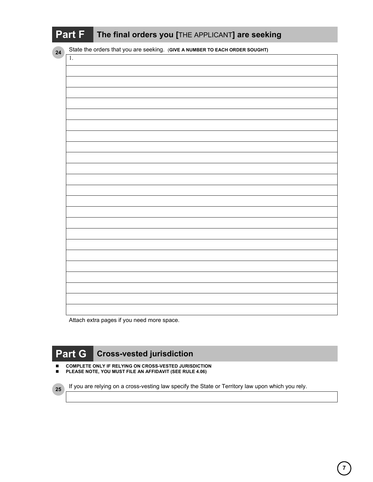|  | Part F The final orders you [THE APPLICANT] are seeking |
|--|---------------------------------------------------------|
|--|---------------------------------------------------------|

State the orders that you are seeking. (**GIVE A NUMBER TO EACH ORDER SOUGHT)**

**24** 

**25** 

| $\overline{1}$ . |  |
|------------------|--|
|                  |  |
|                  |  |
|                  |  |
|                  |  |
|                  |  |
|                  |  |
|                  |  |
|                  |  |
|                  |  |
|                  |  |
|                  |  |
|                  |  |
|                  |  |
|                  |  |
|                  |  |
|                  |  |
|                  |  |
|                  |  |
|                  |  |
|                  |  |
|                  |  |
|                  |  |
|                  |  |

Attach extra pages if you need more space.

## **Part G Cross-vested jurisdiction**

- **COMPLETE ONLY IF RELYING ON CROSS-VESTED JURISDICTION**
- **PLEASE NOTE, YOU MUST FILE AN AFFIDAVIT (SEE RULE 4.06)**

If you are relying on a cross-vesting law specify the State or Territory law upon which you rely.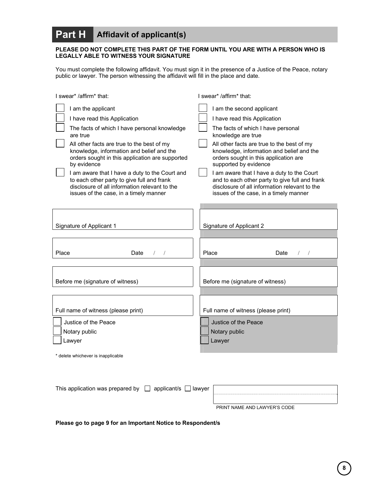### **Part H Affidavit of applicant(s)**

#### **PLEASE DO NOT COMPLETE THIS PART OF THE FORM UNTIL YOU ARE WITH A PERSON WHO IS LEGALLY ABLE TO WITNESS YOUR SIGNATURE**

You must complete the following affidavit. You must sign it in the presence of a Justice of the Peace, notary public or lawyer. The person witnessing the affidavit will fill in the place and date.

| I swear* /affirm* that:                         | I swear* /affirm* that:                        |
|-------------------------------------------------|------------------------------------------------|
| I am the applicant                              | I am the second applicant                      |
| I have read this Application                    | I have read this Application                   |
| The facts of which I have personal knowledge    | The facts of which I have personal             |
| are true                                        | knowledge are true                             |
| All other facts are true to the best of my      | All other facts are true to the best of my     |
| knowledge, information and belief and the       | knowledge, information and belief and the      |
| orders sought in this application are supported | orders sought in this application are          |
| by evidence                                     | supported by evidence                          |
| I am aware that I have a duty to the Court and  | I am aware that I have a duty to the Court     |
| to each other party to give full and frank      | and to each other party to give full and frank |
| disclosure of all information relevant to the   | disclosure of all information relevant to the  |
| issues of the case, in a timely manner          | issues of the case, in a timely manner         |
| Signature of Applicant 1                        | Signature of Applicant 2                       |
| Place                                           | Place                                          |
| Date                                            | Date                                           |
| $\left  \right $                                | $\left  \quad \right $                         |
| Before me (signature of witness)                | Before me (signature of witness)               |
| Full name of witness (please print)             | Full name of witness (please print)            |
| Justice of the Peace                            | Justice of the Peace                           |
| Notary public                                   | Notary public                                  |
| Lawyer<br>* delete whichever is inapplicable    | Lawyer                                         |

| This application was prepared by $\Box$ applicant/s $\Box$ lawyer |  |                              |
|-------------------------------------------------------------------|--|------------------------------|
|                                                                   |  | PRINT NAME AND LAWYER'S CODE |

**Please go to page 9 for an Important Notice to Respondent/s**